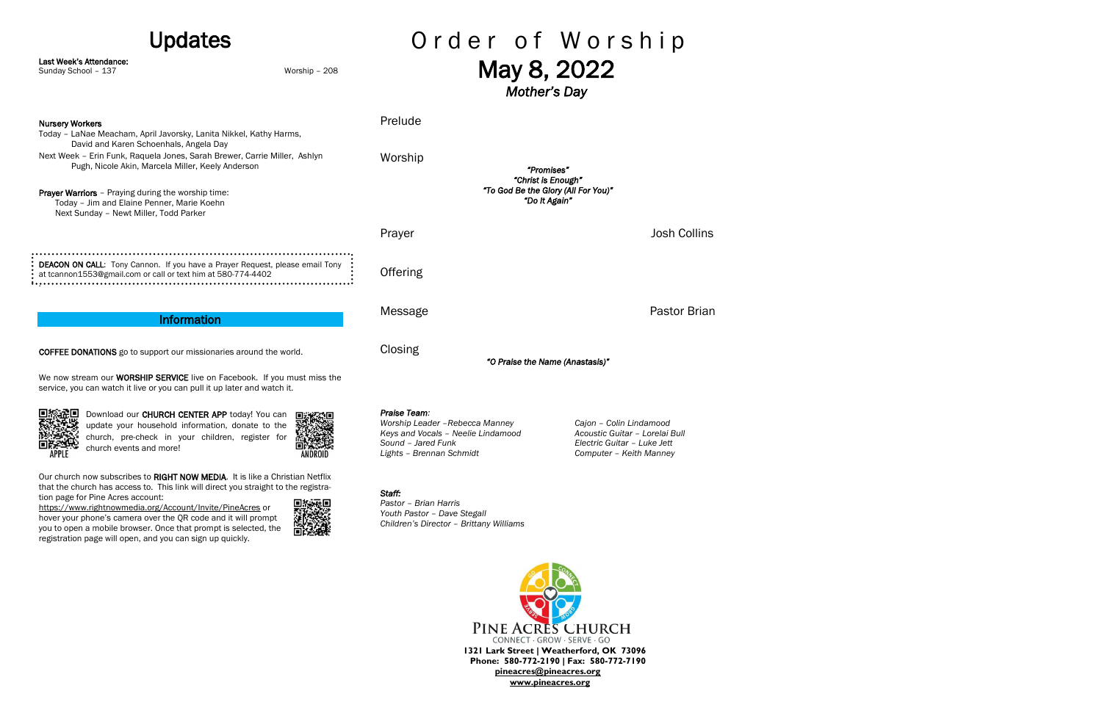Our church now subscribes to RIGHT NOW MEDIA. It is like a Christian Netflix that the church has access to. This link will direct you straight to the registration page for Pine Acres account:

### Order of Worship Updates Last Week's Attendance: May 8, 2022 Sunday School – 137 Worship – 208 *Mother's Day*  Prelude Nursery Workers Today – LaNae Meacham, April Javorsky, Lanita Nikkel, Kathy Harms, David and Karen Schoenhals, Angela Day Next Week – Erin Funk, Raquela Jones, Sarah Brewer, Carrie Miller, Ashlyn Worship Pugh, Nicole Akin, Marcela Miller, Keely Anderson *"Promises" "Christ is Enough" "To God Be the Glory (All For You)"*  Prayer Warriors - Praying during the worship time: *"Do It Again"*  Today – Jim and Elaine Penner, Marie Koehn Next Sunday – Newt Miller, Todd Parker Prayer **Disk Collins** Dosh Collins **DEACON ON CALL:** Tony Cannon. If you have a Prayer Request, please email Tony : **Offering** at tcannon1553@gmail.com or call or text him at 580-774-4402 . Message **Pastor Brian** Information Closing COFFEE DONATIONS go to support our missionaries around the world. *"O Praise the Name (Anastasis)"*  We now stream our **WORSHIP SERVICE** live on Facebook. If you must miss the service, you can watch it live or you can pull it up later and watch it. *Praise Team:* 回报法回 Download our CHURCH CENTER APP today! You can *Worship Leader –Rebecca Manney Cajon – Colin Lindamood* update your household information, donate to the *Keys and Vocals – Neelie Lindamood Acoustic Guitar – Lorelai Bull* church, pre-check in your children, register for *Sound – Jared Funk Electric Guitar – Luke Jett* 回發學 church events and more! APPLE *Lights – Brennan Schmidt Computer – Keith Manney*

<https://www.rightnowmedia.org/Account/Invite/PineAcres> or hover your phone's camera over the QR code and it will prompt you to open a mobile browser. Once that prompt is selected, the registration page will open, and you can sign up quickly.

## *Staff:*

*Pastor – Brian Harris Youth Pastor – Dave Stegall Children's Director – Brittany Williams*